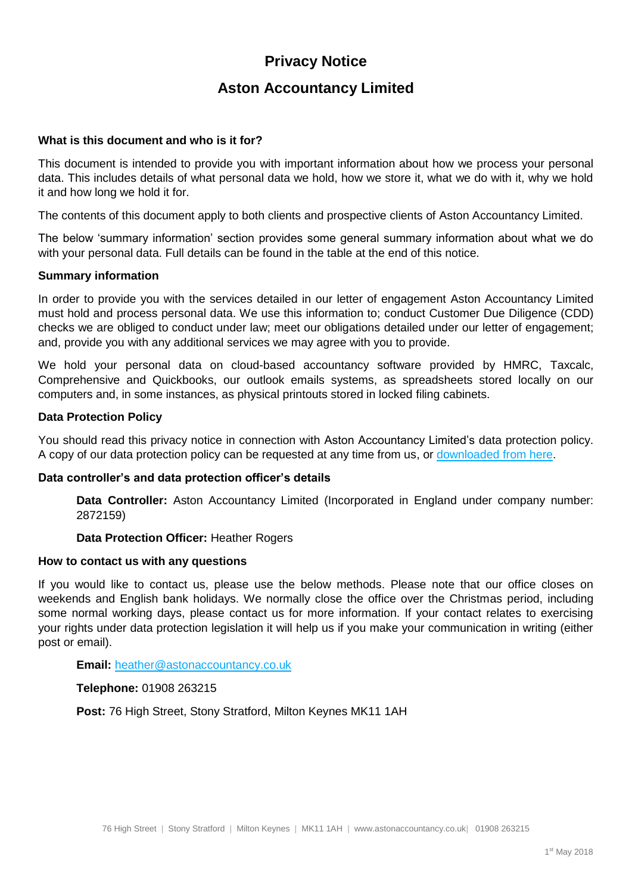# **Privacy Notice**

# **Aston Accountancy Limited**

### **What is this document and who is it for?**

This document is intended to provide you with important information about how we process your personal data. This includes details of what personal data we hold, how we store it, what we do with it, why we hold it and how long we hold it for.

The contents of this document apply to both clients and prospective clients of Aston Accountancy Limited.

The below 'summary information' section provides some general summary information about what we do with your personal data. Full details can be found in the table at the end of this notice.

#### **Summary information**

In order to provide you with the services detailed in our letter of engagement Aston Accountancy Limited must hold and process personal data. We use this information to; conduct Customer Due Diligence (CDD) checks we are obliged to conduct under law; meet our obligations detailed under our letter of engagement; and, provide you with any additional services we may agree with you to provide.

We hold your personal data on cloud-based accountancy software provided by HMRC, Taxcalc, Comprehensive and Quickbooks, our outlook emails systems, as spreadsheets stored locally on our computers and, in some instances, as physical printouts stored in locked filing cabinets.

#### **Data Protection Policy**

You should read this privacy notice in connection with Aston Accountancy Limited's data protection policy. A copy of our data protection policy can be requested at any time from us, or [downloaded from here.](http://astonaccountancy.co.uk/wp-content/uploads/data-protection-policy.pdf)

#### **Data controller's and data protection officer's details**

**Data Controller:** Aston Accountancy Limited (Incorporated in England under company number: 2872159)

#### **Data Protection Officer:** Heather Rogers

#### **How to contact us with any questions**

If you would like to contact us, please use the below methods. Please note that our office closes on weekends and English bank holidays. We normally close the office over the Christmas period, including some normal working days, please contact us for more information. If your contact relates to exercising your rights under data protection legislation it will help us if you make your communication in writing (either post or email).

#### **Email:** [heather@astonaccountancy.co.uk](mailto:heather@astonaccountancy.co.uk)

**Telephone:** 01908 263215

**Post:** 76 High Street, Stony Stratford, Milton Keynes MK11 1AH